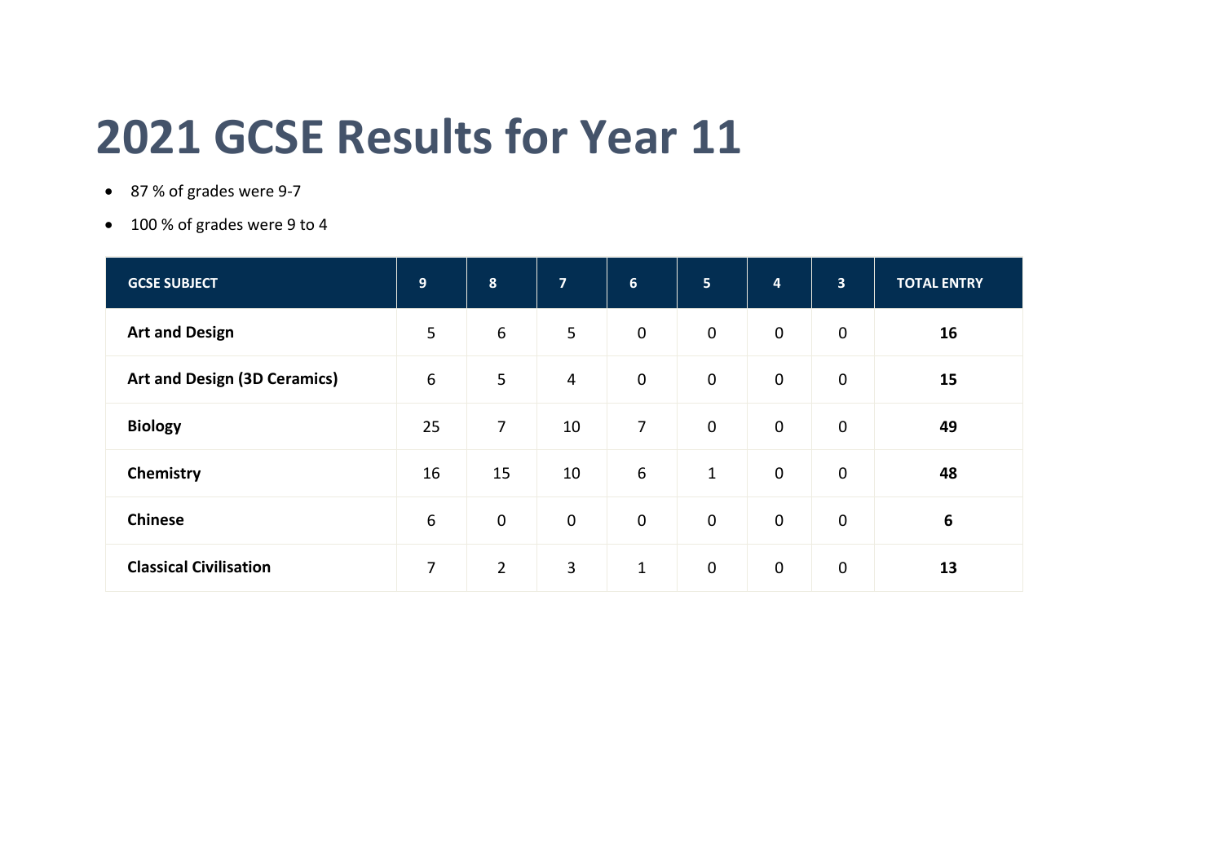## **2021 GCSE Results for Year 11**

- 87 % of grades were 9-7
- 100 % of grades were 9 to 4

| <b>GCSE SUBJECT</b>           | $\overline{9}$   | $\boldsymbol{8}$ | $\overline{7}$ | $6 \overline{6}$ | 5 <sub>5</sub> | $\overline{\mathbf{4}}$ | $\overline{\mathbf{3}}$ | <b>TOTAL ENTRY</b> |
|-------------------------------|------------------|------------------|----------------|------------------|----------------|-------------------------|-------------------------|--------------------|
| <b>Art and Design</b>         | 5                | $6\,$            | 5              | $\mathbf 0$      | $\mathbf 0$    | $\mathbf 0$             | $\mathbf 0$             | 16                 |
| Art and Design (3D Ceramics)  | $\boldsymbol{6}$ | 5                | $\overline{4}$ | $\mathbf 0$      | $\mathbf 0$    | $\mathbf 0$             | $\mathbf 0$             | 15                 |
| <b>Biology</b>                | 25               | $\overline{7}$   | 10             | $\overline{7}$   | $\mathbf 0$    | $\mathbf 0$             | $\mathbf 0$             | 49                 |
| Chemistry                     | 16               | 15               | 10             | $\boldsymbol{6}$ | $\mathbf{1}$   | $\mathbf 0$             | $\mathbf 0$             | 48                 |
| <b>Chinese</b>                | $\boldsymbol{6}$ | $\mathbf 0$      | $\mathbf 0$    | $\mathbf 0$      | $\mathbf 0$    | $\mathbf 0$             | $\mathbf 0$             | $6\phantom{1}6$    |
| <b>Classical Civilisation</b> | 7                | $\overline{2}$   | 3              | $\mathbf{1}$     | $\mathbf 0$    | $\mathbf 0$             | $\mathbf 0$             | 13                 |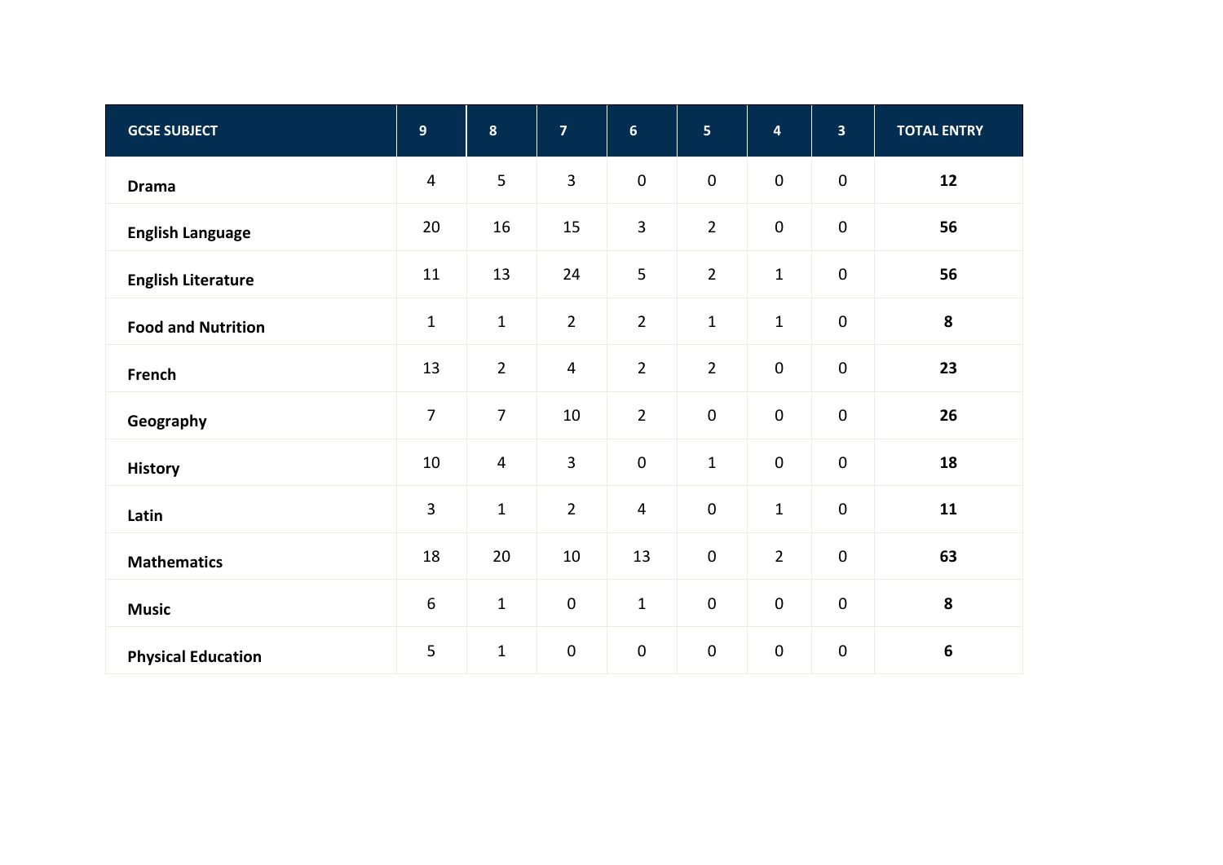| <b>GCSE SUBJECT</b>       | $9\,$            | $\boldsymbol{8}$ | $\overline{7}$ | $6\phantom{a}$ | 5              | $\overline{\mathbf{4}}$ | 3 <sup>1</sup>      | <b>TOTAL ENTRY</b> |  |
|---------------------------|------------------|------------------|----------------|----------------|----------------|-------------------------|---------------------|--------------------|--|
| <b>Drama</b>              | $\overline{4}$   | 5                | 3              | $\pmb{0}$      | $\pmb{0}$      | $\mathbf 0$             | $\pmb{0}$           | 12                 |  |
| <b>English Language</b>   | 20               | 16               | 15             | 3              | $\overline{2}$ | $\mathbf 0$             | $\pmb{0}$           | 56                 |  |
| <b>English Literature</b> | 11               | 13               | 24             | 5              | $\overline{2}$ | $1\,$                   | $\mathbf 0$         | 56                 |  |
| <b>Food and Nutrition</b> | $\mathbf 1$      | $\mathbf 1$      | $\overline{2}$ | $\overline{2}$ | $\mathbf 1$    | $\mathbf{1}$            | $\mathbf 0$         | 8                  |  |
| French                    | 13               | $\overline{2}$   | $\overline{4}$ | $\overline{2}$ | $\overline{2}$ | $\mathbf 0$             | $\mathbf 0$         | 23                 |  |
| Geography                 | $\overline{7}$   | $\overline{7}$   | 10             | $\overline{2}$ | $\pmb{0}$      | $\mathbf 0$             | $\mathsf{O}\xspace$ | 26                 |  |
| <b>History</b>            | 10               | $\overline{4}$   | $\overline{3}$ | $\pmb{0}$      | $\mathbf 1$    | $\pmb{0}$               | $\mathbf 0$         | 18                 |  |
| Latin                     | $\overline{3}$   | $\mathbf 1$      | $\overline{2}$ | $\overline{4}$ | $\pmb{0}$      | $\mathbf{1}$            | $\mathbf 0$         | 11                 |  |
| <b>Mathematics</b>        | 18               | 20               | 10             | 13             | $\pmb{0}$      | $\overline{2}$          | $\pmb{0}$           | 63                 |  |
| <b>Music</b>              | $\boldsymbol{6}$ | $\mathbf 1$      | $\mathbf 0$    | $\mathbf 1$    | $\pmb{0}$      | $\pmb{0}$               | $\pmb{0}$           | ${\bf 8}$          |  |
| <b>Physical Education</b> | 5                | $\mathbf 1$      | $\mathbf 0$    | $\pmb{0}$      | $\pmb{0}$      | $\pmb{0}$               | $\pmb{0}$           | 6                  |  |